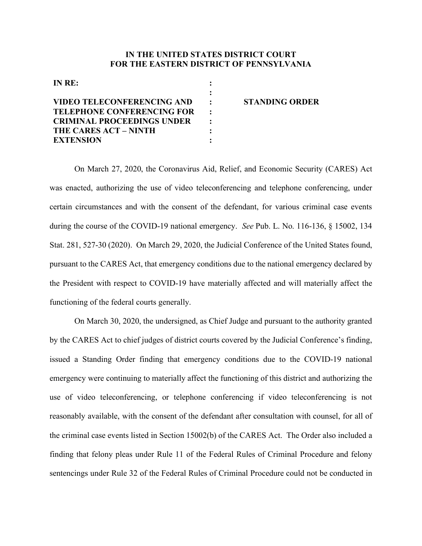## **IN THE UNITED STATES DISTRICT COURT FOR THE EASTERN DISTRICT OF PENNSYLVANIA**

| IN RE:                            |                       |
|-----------------------------------|-----------------------|
|                                   |                       |
| <b>VIDEO TELECONFERENCING AND</b> | <b>STANDING ORDER</b> |
| <b>TELEPHONE CONFERENCING FOR</b> |                       |
| <b>CRIMINAL PROCEEDINGS UNDER</b> |                       |
| THE CARES ACT – NINTH             |                       |
| <b>EXTENSION</b>                  |                       |

On March 27, 2020, the Coronavirus Aid, Relief, and Economic Security (CARES) Act was enacted, authorizing the use of video teleconferencing and telephone conferencing, under certain circumstances and with the consent of the defendant, for various criminal case events during the course of the COVID-19 national emergency. *See* Pub. L. No. 116-136, § 15002, 134 Stat. 281, 527-30 (2020). On March 29, 2020, the Judicial Conference of the United States found, pursuant to the CARES Act, that emergency conditions due to the national emergency declared by the President with respect to COVID-19 have materially affected and will materially affect the functioning of the federal courts generally.

On March 30, 2020, the undersigned, as Chief Judge and pursuant to the authority granted by the CARES Act to chief judges of district courts covered by the Judicial Conference's finding, issued a Standing Order finding that emergency conditions due to the COVID-19 national emergency were continuing to materially affect the functioning of this district and authorizing the use of video teleconferencing, or telephone conferencing if video teleconferencing is not reasonably available, with the consent of the defendant after consultation with counsel, for all of the criminal case events listed in Section 15002(b) of the CARES Act. The Order also included a finding that felony pleas under Rule 11 of the Federal Rules of Criminal Procedure and felony sentencings under Rule 32 of the Federal Rules of Criminal Procedure could not be conducted in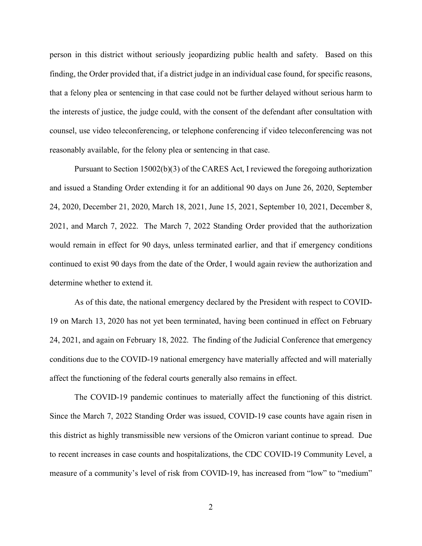person in this district without seriously jeopardizing public health and safety. Based on this finding, the Order provided that, if a district judge in an individual case found, for specific reasons, that a felony plea or sentencing in that case could not be further delayed without serious harm to the interests of justice, the judge could, with the consent of the defendant after consultation with counsel, use video teleconferencing, or telephone conferencing if video teleconferencing was not reasonably available, for the felony plea or sentencing in that case.

Pursuant to Section 15002(b)(3) of the CARES Act, I reviewed the foregoing authorization and issued a Standing Order extending it for an additional 90 days on June 26, 2020, September 24, 2020, December 21, 2020, March 18, 2021, June 15, 2021, September 10, 2021, December 8, 2021, and March 7, 2022. The March 7, 2022 Standing Order provided that the authorization would remain in effect for 90 days, unless terminated earlier, and that if emergency conditions continued to exist 90 days from the date of the Order, I would again review the authorization and determine whether to extend it.

As of this date, the national emergency declared by the President with respect to COVID-19 on March 13, 2020 has not yet been terminated, having been continued in effect on February 24, 2021, and again on February 18, 2022. The finding of the Judicial Conference that emergency conditions due to the COVID-19 national emergency have materially affected and will materially affect the functioning of the federal courts generally also remains in effect.

The COVID-19 pandemic continues to materially affect the functioning of this district. Since the March 7, 2022 Standing Order was issued, COVID-19 case counts have again risen in this district as highly transmissible new versions of the Omicron variant continue to spread. Due to recent increases in case counts and hospitalizations, the CDC COVID-19 Community Level, a measure of a community's level of risk from COVID-19, has increased from "low" to "medium"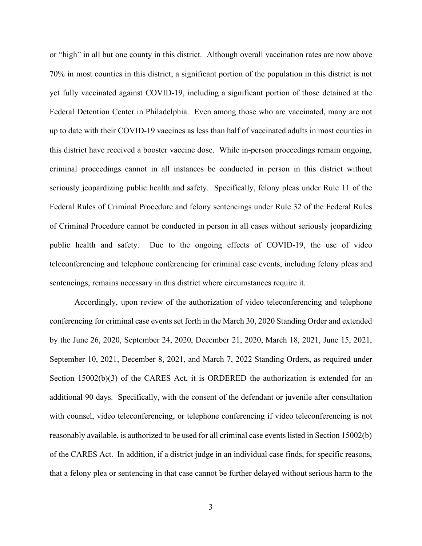or "high" in all but one county in this district. Although overall vaccination rates are now above 70% in most counties in this district, a significant portion of the population in this district is not yet fully vaccinated against COVID-19, including a significant portion of those detained at the Federal Detention Center in Philadelphia. Even among those who are vaccinated, many are not up to date with their COVID-19 vaccines as less than half of vaccinated adults in most counties in this district have received a booster vaccine dose. While in-person proceedings remain ongoing, criminal proceedings cannot in all instances be conducted in person in this district without seriously jeopardizing public health and safety. Specifically, felony pleas under Rule 11 of the Federal Rules of Criminal Procedure and felony sentencings under Rule 32 of the Federal Rules of Criminal Procedure cannot be conducted in person in all cases without seriously jeopardizing public health and safety. Due to the ongoing effects of COVID-19, the use of video teleconferencing and telephone conferencing for criminal case events, including felony pleas and sentencings, remains necessary in this district where circumstances require it.

Accordingly, upon review of the authorization of video teleconferencing and telephone conferencing for criminal case events set forth in the March 30, 2020 Standing Order and extended by the June 26, 2020, September 24, 2020, December 21, 2020, March 18, 2021, June 15, 2021, September 10, 2021, December 8, 2021, and March 7, 2022 Standing Orders, as required under Section 15002(b)(3) of the CARES Act, it is ORDERED the authorization is extended for an additional 90 days. Specifically, with the consent of the defendant or juvenile after consultation with counsel, video teleconferencing, or telephone conferencing if video teleconferencing is not reasonably available, is authorized to be used for all criminal case events listed in Section 15002(b) of the CARES Act. In addition, if a district judge in an individual case finds, for specific reasons, that a felony plea or sentencing in that case cannot be further delayed without serious harm to the